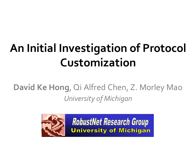# **An Initial Investigation of Protocol Customization**

#### **David Ke Hong**, Qi Alfred Chen, Z. Morley Mao *University of Michigan*



**RobustNet Research Group University of Michigan**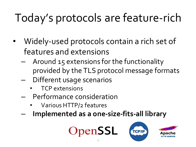# Today's protocols are feature-rich

- Widely-used protocols contain a rich set of features and extensions
	- Around 15 extensions for the functionality provided by the TLS protocol message formats
	- Different usage scenarios
		- TCP extensions
	- Performance consideration
		- Various HTTP/2 features
	- **Implemented as a one-size-fits-all library**



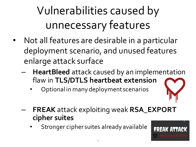# Vulnerabilities caused by unnecessary features

- Not all features are desirable in a particular deployment scenario, and unused features enlarge attack surface
	- **HeartBleed** attack caused by an implementation flaw in **TLS/DTLS heartbeat extension**
		- Optional in many deployment scenarios



- **FREAK** attack exploiting weak **RSA\_EXPORT cipher suites**
	- Stronger cipher suites already available

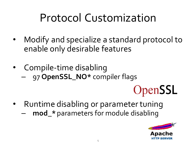#### Protocol Customization

- Modify and specialize a standard protocol to enable only desirable features
- Compile-time disabling – 97 **OpenSSL\_NO\*** compiler flags
	- OpenSSL
- Runtime disabling or parameter tuning
	- **mod\_\*** parameters for module disabling

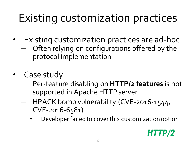### Existing customization practices

- Existing customization practices are ad-hoc
	- Often relying on configurations offered by the protocol implementation
- Case study
	- Per-feature disabling on **HTTP/2 features** is not supported in Apache HTTP server
	- HPACK bomb vulnerability (CVE-2016-1544, CVE-2016-6581)
		- Developer failed to cover this customization option

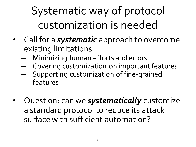Systematic way of protocol customization is needed

- Call for a *systematic* approach to overcome existing limitations
	- Minimizing human efforts and errors
	- Covering customization on important features
	- Supporting customization of fine-grained features
- Question: can we *systematically* customize a standard protocol to reduce its attack surface with sufficient automation?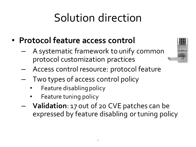#### Solution direction

- **Protocol feature access control**
	- A systematic framework to unify common protocol customization practices



- Access control resource: protocol feature
- Two types of access control policy
	- Feature disabling policy
	- Feature tuning policy
- **Validation**: 17 out of 20 CVE patches can be expressed by feature disabling or tuning policy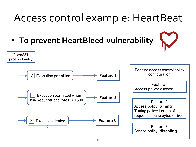#### Access control example: HeartBeat

• **To prevent HeartBleed vulnerability**

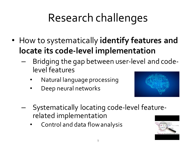# Research challenges

- How to systematically **identify features and locate its code-level implementation**
	- Bridging the gap between user-level and codelevel features
		- Natural language processing
		- Deep neural networks



- Systematically locating code-level featurerelated implementation
	- Control and data flow analysis

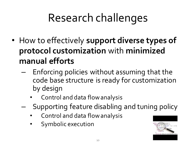# Research challenges

- How to effectively **support diverse types of protocol customization** with **minimized manual efforts**
	- Enforcing policies without assuming that the code base structure is ready for customization by design
		- Control and data flow analysis
	- Supporting feature disabling and tuning policy
		- Control and data flow analysis
		- Symbolic execution

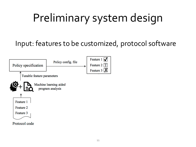# Preliminary system design

#### Input: features to be customized, protocol software

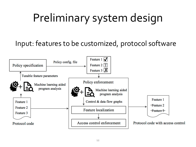# Preliminary system design

#### Input: features to be customized, protocol software

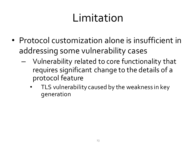#### Limitation

- Protocol customization alone is insufficient in addressing some vulnerability cases
	- Vulnerability related to core functionality that requires significant change to the details of a protocol feature
		- TLS vulnerability caused by the weakness in key generation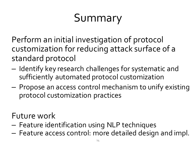# Summary

Perform an initial investigation of protocol customization for reducing attack surface of a standard protocol

- Identify key research challenges for systematic and sufficiently automated protocol customization
- Propose an access control mechanism to unify existing protocol customization practices

Future work

- Feature identification using NLP techniques
- $-$  Feature access control: more detailed design and impl.